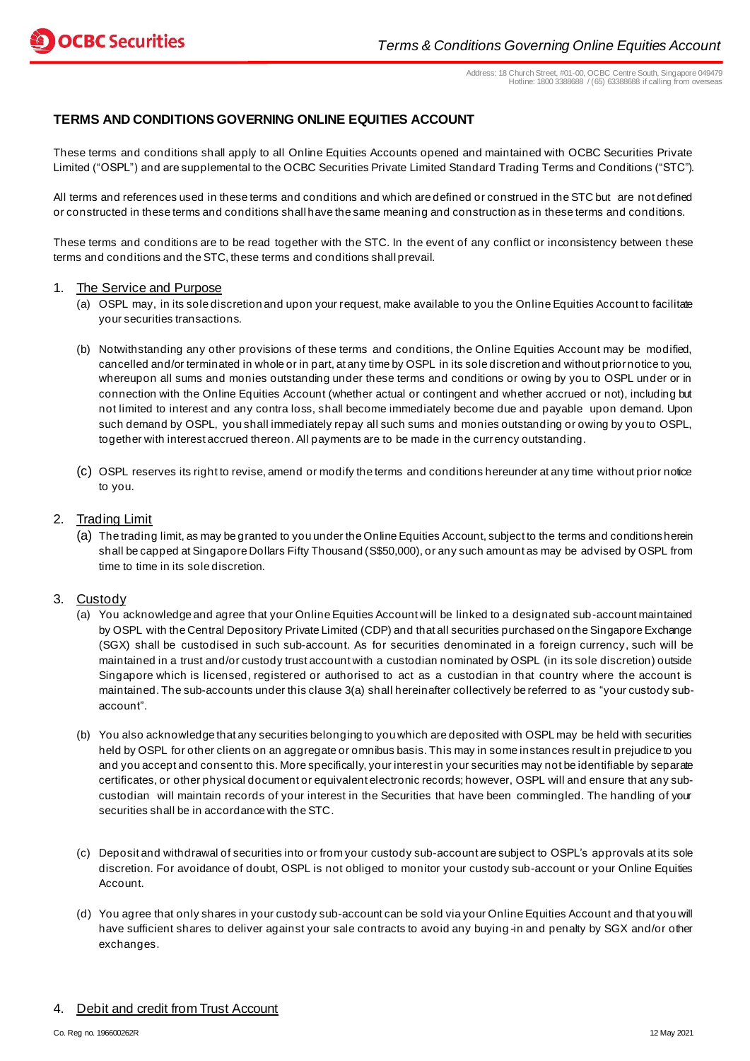Address: 18 Church Street, #01-00, OCBC Centre South, Singapore 049479 Hotline: 1800 3388688 / (65) 63388688 if calling from overseas

## **TERMS AND CONDITIONS GOVERNING ONLINE EQUITIES ACCOUNT**

These terms and conditions shall apply to all Online Equities Accounts opened and maintained with OCBC Securities Private Limited ("OSPL") and are supplemental to the OCBC Securities Private Limited Standard Trading Terms and Conditions ("STC").

All terms and references used in these terms and conditions and which are defined or construed in the STC but are not defined or constructed in these terms and conditions shall have the same meaning and construction as in these terms and conditions.

These terms and conditions are to be read together with the STC. In the event of any conflict or inconsistency between these terms and conditions and the STC, these terms and conditions shall prevail.

#### 1. The Service and Purpose

- (a) OSPL may, in its sole discretion and upon your request, make available to you the Online Equities Account to facilitate your securities transactions.
- (b) Notwithstanding any other provisions of these terms and conditions, the Online Equities Account may be modified, cancelled and/or terminated in whole or in part, at any time by OSPL in its sole discretion and without prior notice to you, whereupon all sums and monies outstanding under these terms and conditions or owing by you to OSPL under or in connection with the Online Equities Account (whether actual or contingent and whether accrued or not), including but not limited to interest and any contra loss, shall become immediately become due and payable upon demand. Upon such demand by OSPL, you shall immediately repay all such sums and monies outstanding or owing by you to OSPL, together with interest accrued thereon. All payments are to be made in the currency outstanding.
- (c) OSPL reserves its right to revise, amend or modify the terms and conditions hereunder at any time without prior notice to you.

#### 2. Trading Limit

(a) The trading limit, as may be granted to you under the Online Equities Account, subject to the terms and conditions herein shall be capped at Singapore Dollars Fifty Thousand (S\$50,000), or any such amount as may be advised by OSPL from time to time in its sole discretion.

### 3. Custody

- (a) You acknowledge and agree that your Online Equities Account will be linked to a designated sub-account maintained by OSPL with the Central Depository Private Limited (CDP) and that all securities purchased on the Singapore Exchange (SGX) shall be custodised in such sub-account. As for securities denominated in a foreign currency, such will be maintained in a trust and/or custody trust account with a custodian nominated by OSPL (in its sole discretion) outside Singapore which is licensed, registered or authorised to act as a custodian in that country where the account is maintained. The sub-accounts under this clause 3(a) shall hereinafter collectively be referred to as "your custody subaccount".
- (b) You also acknowledge that any securities belonging to you which are deposited with OSPL may be held with securities held by OSPL for other clients on an aggregate or omnibus basis. This may in some instances result in prejudice to you and you accept and consent to this. More specifically, your interest in your securities may not be identifiable by separate certificates, or other physical document or equivalent electronic records; however, OSPL will and ensure that any subcustodian will maintain records of your interest in the Securities that have been commingled. The handling of your securities shall be in accordance with the STC.
- (c) Deposit and withdrawal of securities into or from your custody sub-account are subject to OSPL's approvals at its sole discretion. For avoidance of doubt, OSPL is not obliged to monitor your custody sub-account or your Online Equities Account.
- (d) You agree that only shares in your custody sub-account can be sold via your Online Equities Account and that you will have sufficient shares to deliver against your sale contracts to avoid any buying -in and penalty by SGX and/or other exchanges.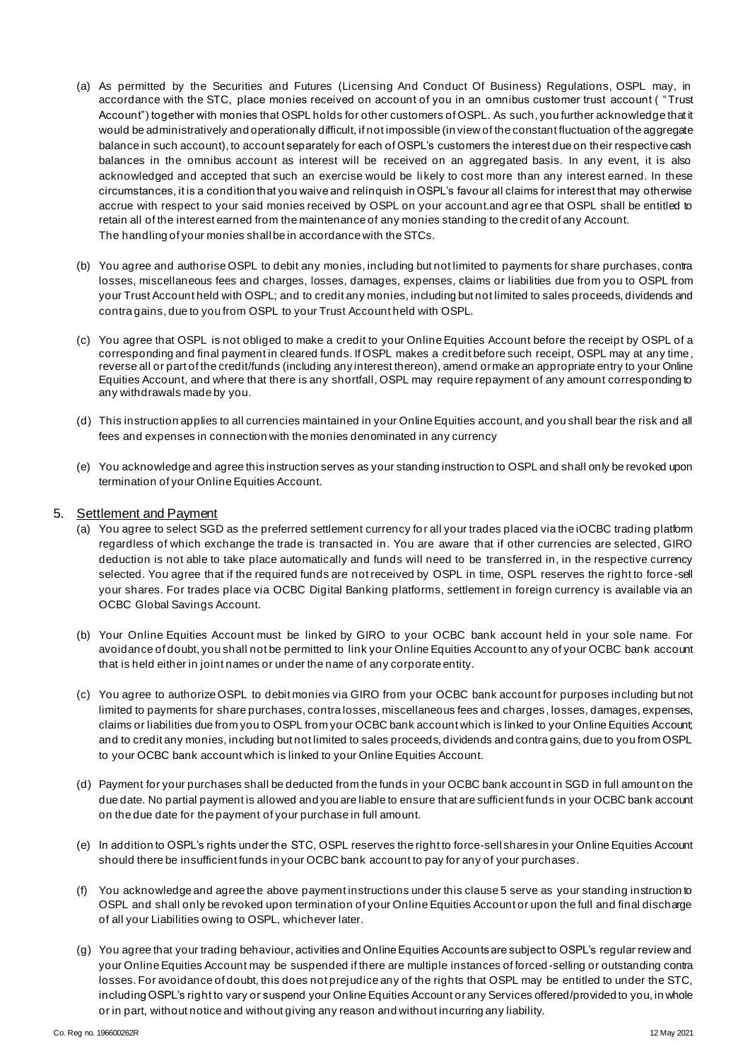- (a) As permitted by the Securities and Futures (Licensing And Conduct Of Business) Regulations, OSPL may, in accordance with the STC, place monies received on account of you in an omnibus customer trust account ( "Trust Account") together with monies that OSPL holds for other customers of OSPL. As such, you further acknowledge that it would be administratively and operationally difficult, if not impossible (in view of the constant fluctuation of the aggregate balance in such account), to account separately for each of OSPL's customers the interest due on their respective cash balances in the omnibus account as interest will be received on an aggregated basis. In any event, it is also acknowledged and accepted that such an exercise would be li kely to cost more than any interest earned. In these circumstances, it is a condition that you waive and relinquish in OSPL's favour all claims for interest that may otherwise accrue with respect to your said monies received by OSPL on your account.and agree that OSPL shall be entitled to retain all of the interest earned from the maintenance of any monies standing to the credit of any Account. The handling of your monies shall be in accordance with the STCs.
- (b) You agree and authorise OSPL to debit any monies, including but not limited to payments for share purchases, contra losses, miscellaneous fees and charges, losses, damages, expenses, claims or liabilities due from you to OSPL from your Trust Account held with OSPL; and to credit any monies, including but not limited to sales proceeds, dividends and contra gains, due to you from OSPL to your Trust Account held with OSPL.
- (c) You agree that OSPL is not obliged to make a credit to your Online Equities Account before the receipt by OSPL of a corresponding and final payment in cleared funds. If OSPL makes a credit before such receipt, OSPL may at any time, reverse all or part of the credit/funds (including any interest thereon), amend or make an appropriate entry to your Online Equities Account, and where that there is any shortfall, OSPL may require repayment of any amount corresponding to any withdrawals made by you.
- (d) This instruction applies to all currencies maintained in your Online Equities account, and you shall bear the risk and all fees and expenses in connection with the monies denominated in any currency
- (e) You acknowledge and agree this instruction serves as your standing instruction to OSPL and shall only be revoked upon termination of your Online Equities Account.

### 5. Settlement and Payment

- (a) You agree to select SGD as the preferred settlement currency fo r all your trades placed via the iOCBC trading platform regardless of which exchange the trade is transacted in. You are aware that if other currencies are selected, GIRO deduction is not able to take place automatically and funds will need to be transferred in, in the respective currency selected. You agree that if the required funds are not received by OSPL in time, OSPL reserves the right to force-sell your shares. For trades place via OCBC Digital Banking platforms, settlement in foreign currency is available via an OCBC Global Savings Account.
- (b) Your Online Equities Account must be linked by GIRO to your OCBC bank account held in your sole name. For avoidance of doubt, you shall not be permitted to link your Online Equities Account to any of your OCBC bank account that is held either in joint names or under the name of any corporate entity.
- (c) You agree to authorize OSPL to debit monies via GIRO from your OCBC bank account for purposes including but not limited to payments for share purchases, contra losses, miscellaneous fees and charges , losses, damages, expenses, claims or liabilities due from you to OSPL from your OCBC bank account which is linked to your Online Equities Account; and to credit any monies, including but not limited to sales proceeds, dividends and contra gains, due to you from OSPL to your OCBC bank account which is linked to your Online Equities Account.
- (d) Payment for your purchases shall be deducted from the funds in your OCBC bank account in SGD in full amount on the due date. No partial payment is allowed and you are liable to ensure that are sufficient funds in your OCBC bank account on the due date for the payment of your purchase in full amount.
- (e) In addition to OSPL's rights under the STC, OSPL reserves the right to force-sell shares in your Online Equities Account should there be insufficient funds in your OCBC bank account to pay for any of your purchases.
- (f) You acknowledge and agree the above payment instructions under this clause 5 serve as your standing instruction to OSPL and shall only be revoked upon termination of your Online Equities Account or upon the full and final discharge of all your Liabilities owing to OSPL, whichever later.
- (g) You agree that your trading behaviour, activities and Online Equities Accounts are subject to OSPL's regular review and your Online Equities Account may be suspended if there are multiple instances of forced -selling or outstanding contra losses. For avoidance of doubt, this does not prejudice any of the rights that OSPL may be entitled to under the STC, including OSPL's right to vary or suspend your Online Equities Account or any Services offered/provided to you, in whole or in part, without notice and without giving any reason and without incurring any liability.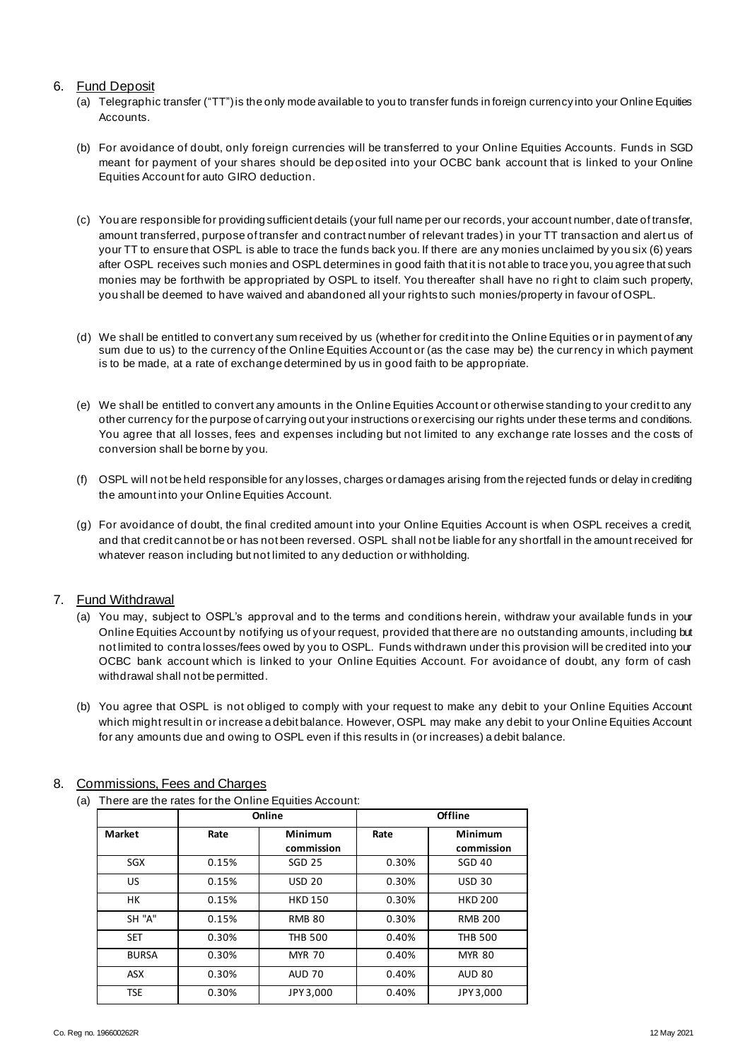### 6. Fund Deposit

- (a) Telegraphic transfer ("TT") is the only mode available to you to transfer funds in foreign currency into your Online Equities **Accounts**
- (b) For avoidance of doubt, only foreign currencies will be transferred to your Online Equities Accounts. Funds in SGD meant for payment of your shares should be dep osited into your OCBC bank account that is linked to your Online Equities Account for auto GIRO deduction.
- (c) You are responsible for providing sufficient details (your full name per our records, your account number, date of transfer, amount transferred, purpose of transfer and contract number of relevant trades) in your TT transaction and alert us of your TT to ensure that OSPL is able to trace the funds back you. If there are any monies unclaimed by you six (6) years after OSPL receives such monies and OSPL determines in good faith that it is not able to trace you, you agree that such monies may be forthwith be appropriated by OSPL to itself. You thereafter shall have no ri ght to claim such property, you shall be deemed to have waived and abandoned all your rights to such monies/property in favour of OSPL.
- (d) We shall be entitled to convert any sum received by us (whether for credit into the Online Equities or in payment of any sum due to us) to the currency of the Online Equities Account or (as the case may be) the currency in which payment is to be made, at a rate of exchange determined by us in good faith to be appropriate.
- (e) We shall be entitled to convert any amounts in the Online Equities Account or otherwise standing to your credit to any other currency for the purpose of carrying out your instructions or exercising our rights under these terms and conditions. You agree that all losses, fees and expenses including but not limited to any exchange rate losses and the costs of conversion shall be borne by you.
- (f) OSPL will not be held responsible for any losses, charges or damages arising from the rejected funds or delay in crediting the amount into your Online Equities Account.
- (g) For avoidance of doubt, the final credited amount into your Online Equities Account is when OSPL receives a credit, and that credit cannot be or has not been reversed. OSPL shall not be liable for any shortfall in the amount received for whatever reason including but not limited to any deduction or withholding.

## 7. Fund Withdrawal

- (a) You may, subject to OSPL's approval and to the terms and conditions herein, withdraw your available funds in your Online Equities Account by notifying us of your request, provided that there are no outstanding amounts, including but not limited to contra losses/fees owed by you to OSPL. Funds withdrawn under this provision will be credited into your OCBC bank account which is linked to your Online Equities Account. For avoidance of doubt, any form of cash withdrawal shall not be permitted.
- (b) You agree that OSPL is not obliged to comply with your request to make any debit to your Online Equities Account which might result in or increase a debit balance. However, OSPL may make any debit to your Online Equities Account for any amounts due and owing to OSPL even if this results in (or increases) a debit balance.

| Market       | Online |                       | Offline |                       |
|--------------|--------|-----------------------|---------|-----------------------|
|              | Rate   | Minimum<br>commission | Rate    | Minimum<br>commission |
| SGX          | 0.15%  | <b>SGD 25</b>         | 0.30%   | <b>SGD 40</b>         |
| <b>US</b>    | 0.15%  | <b>USD 20</b>         | 0.30%   | <b>USD 30</b>         |
| HК           | 0.15%  | <b>HKD 150</b>        | 0.30%   | <b>HKD 200</b>        |
| SH "A"       | 0.15%  | <b>RMB 80</b>         | 0.30%   | <b>RMB 200</b>        |
| <b>SET</b>   | 0.30%  | <b>THB 500</b>        | 0.40%   | <b>THB 500</b>        |
| <b>BURSA</b> | 0.30%  | <b>MYR 70</b>         | 0.40%   | <b>MYR 80</b>         |
| <b>ASX</b>   | 0.30%  | <b>AUD 70</b>         | 0.40%   | <b>AUD 80</b>         |
| <b>TSE</b>   | 0.30%  | JPY 3,000             | 0.40%   | JPY 3,000             |

## 8. Commissions, Fees and Charges

(a) There are the rates for the Online Equities Account: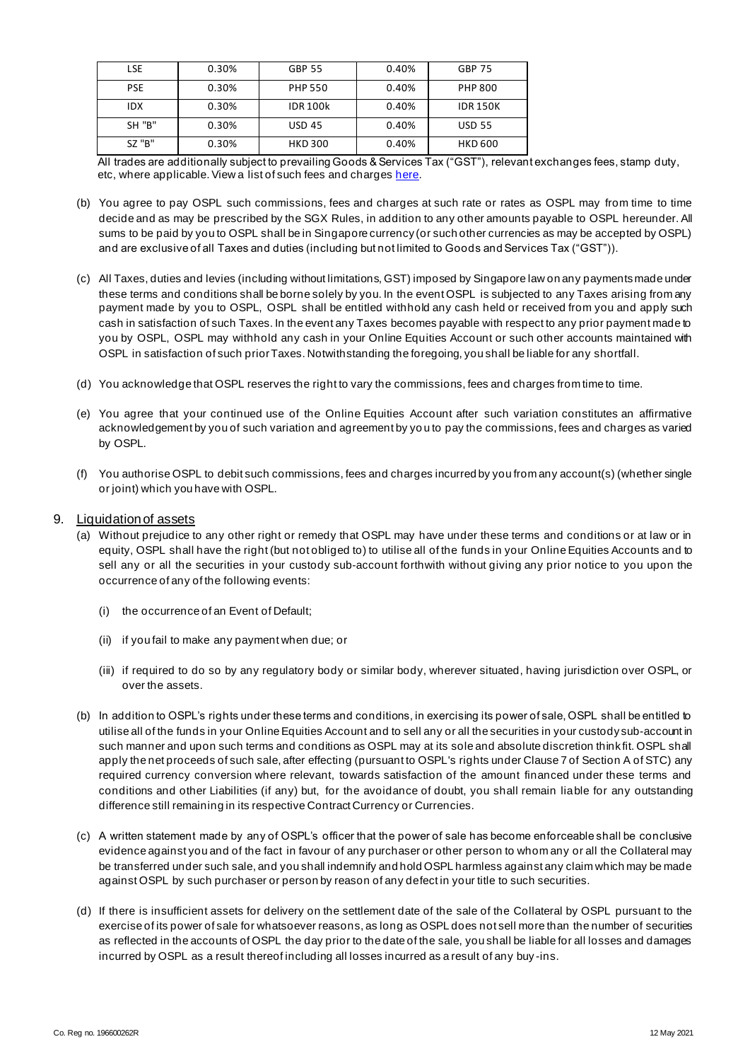| LSE           | 0.30% | <b>GBP 55</b>   | 0.40% | <b>GBP 75</b>   |
|---------------|-------|-----------------|-------|-----------------|
| <b>PSE</b>    | 0.30% | <b>PHP 550</b>  | 0.40% | <b>PHP 800</b>  |
| IDX           | 0.30% | <b>IDR 100k</b> | 0.40% | <b>IDR 150K</b> |
| <b>SH "B"</b> | 0.30% | <b>USD 45</b>   | 0.40% | <b>USD 55</b>   |
| SZ "B"        | 0.30% | <b>HKD 300</b>  | 0.40% | <b>HKD 600</b>  |

All trades are additionally subject to prevailing Goods & Services Tax ("GST"), relevant exchanges fees, stamp duty, etc, where applicable. View a list of such fees and charge[s here.](https://internet.ocbc.com/internet-banking/content/include/SG/en/OnlineEquities/ConsolidatedCommissionCharges.pdf)

- (b) You agree to pay OSPL such commissions, fees and charges at such rate or rates as OSPL may from time to time decide and as may be prescribed by the SGX Rules, in addition to any other amounts payable to OSPL hereunder. All sums to be paid by you to OSPL shall be in Singapore currency (or such other currencies as may be accepted by OSPL) and are exclusive of all Taxes and duties (including but not limited to Goods and Services Tax ("GST")).
- (c) All Taxes, duties and levies (including without limitations, GST) imposed by Singapore law on any payments made under these terms and conditions shall be borne solely by you. In the event OSPL is subjected to any Taxes arising from any payment made by you to OSPL, OSPL shall be entitled withhold any cash held or received from you and apply such cash in satisfaction of such Taxes. In the event any Taxes becomes payable with respect to any prior payment made to you by OSPL, OSPL may withhold any cash in your Online Equities Account or such other accounts maintained with OSPL in satisfaction of such prior Taxes. Notwithstanding the foregoing, you shall be liable for any shortfall.
- (d) You acknowledge that OSPL reserves the right to vary the commissions, fees and charges from time to time.
- (e) You agree that your continued use of the Online Equities Account after such variation constitutes an affirmative acknowledgement by you of such variation and agreement by yo u to pay the commissions, fees and charges as varied by OSPL.
- (f) You authorise OSPL to debit such commissions, fees and charges incurred by you from any account(s) (whether single or joint) which you have with OSPL.

#### 9. Liquidation of assets

- (a) Without prejudice to any other right or remedy that OSPL may have under these terms and conditions or at law or in equity, OSPL shall have the right (but not obliged to) to utilise all of the funds in your Online Equities Accounts and to sell any or all the securities in your custody sub-account forthwith without giving any prior notice to you upon the occurrence of any of the following events:
	- (i) the occurrence of an Event of Default;
	- (ii) if you fail to make any payment when due; or
	- (iii) if required to do so by any regulatory body or similar body, wherever situated, having jurisdiction over OSPL, or over the assets.
- (b) In addition to OSPL's rights under these terms and conditions, in exercising its power of sale, OSPL shall be entitled to utilise all of the funds in your Online Equities Account and to sell any or all the securities in your custody sub-account in such manner and upon such terms and conditions as OSPL may at its sole and absolute discretion think fit. OSPL shall apply the net proceeds of such sale, after effecting (pursuant to OSPL's rights under Clause 7 of Section A of STC) any required currency conversion where relevant, towards satisfaction of the amount financed under these terms and conditions and other Liabilities (if any) but, for the avoidance of doubt, you shall remain liable for any outstanding difference still remaining in its respective Contract Currency or Currencies.
- (c) A written statement made by any of OSPL's officer that the power of sale has become enforceable shall be conclusive evidence against you and of the fact in favour of any purchaser or other person to whom any or all the Collateral may be transferred under such sale, and you shall indemnify and hold OSPL harmless against any claim which may be made against OSPL by such purchaser or person by reason of any defect in your title to such securities.
- (d) If there is insufficient assets for delivery on the settlement date of the sale of the Collateral by OSPL pursuant to the exercise of its power of sale for whatsoever reasons, as long as OSPL does not sell more than the number of securities as reflected in the accounts of OSPL the day prior to the date of the sale, you shall be liable for all losses and damages incurred by OSPL as a result thereof including all losses incurred as a result of any buy -ins.